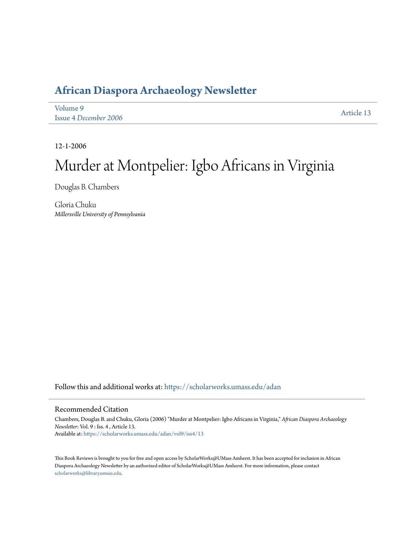## **[African Diaspora Archaeology Newsletter](https://scholarworks.umass.edu/adan?utm_source=scholarworks.umass.edu%2Fadan%2Fvol9%2Fiss4%2F13&utm_medium=PDF&utm_campaign=PDFCoverPages)**

| Volume 9              | Article 13 |
|-----------------------|------------|
| Issue 4 December 2006 |            |

12-1-2006

# Murder at Montpelier: Igbo Africans in Virginia

Douglas B. Chambers

Gloria Chuku *Millersville University of Pennsylvania*

Follow this and additional works at: [https://scholarworks.umass.edu/adan](https://scholarworks.umass.edu/adan?utm_source=scholarworks.umass.edu%2Fadan%2Fvol9%2Fiss4%2F13&utm_medium=PDF&utm_campaign=PDFCoverPages)

#### Recommended Citation

Chambers, Douglas B. and Chuku, Gloria (2006) "Murder at Montpelier: Igbo Africans in Virginia," *African Diaspora Archaeology Newsletter*: Vol. 9 : Iss. 4 , Article 13. Available at: [https://scholarworks.umass.edu/adan/vol9/iss4/13](https://scholarworks.umass.edu/adan/vol9/iss4/13?utm_source=scholarworks.umass.edu%2Fadan%2Fvol9%2Fiss4%2F13&utm_medium=PDF&utm_campaign=PDFCoverPages)

This Book Reviews is brought to you for free and open access by ScholarWorks@UMass Amherst. It has been accepted for inclusion in African Diaspora Archaeology Newsletter by an authorized editor of ScholarWorks@UMass Amherst. For more information, please contact [scholarworks@library.umass.edu](mailto:scholarworks@library.umass.edu).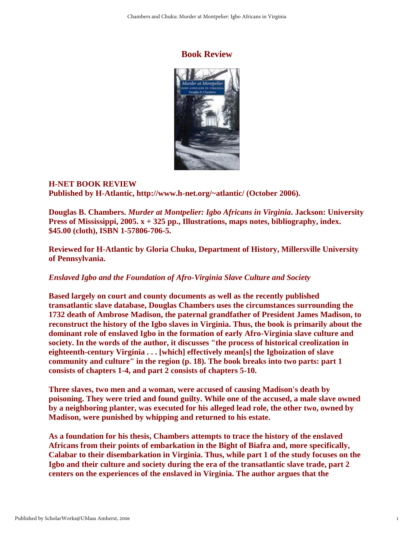### **Book Review**



#### **H-NET BOOK REVIEW Published by H-Atlantic, http://www.h-net.org/~atlantic/ (October 2006).**

**Douglas B. Chambers.** *Murder at Montpelier: Igbo Africans in Virginia***. Jackson: University Press of Mississippi, 2005. x + 325 pp., Illustrations, maps notes, bibliography, index. \$45.00 (cloth), ISBN 1-57806-706-5.** 

**Reviewed for H-Atlantic by Gloria Chuku, Department of History, Millersville University of Pennsylvania.** 

### *Enslaved Igbo and the Foundation of Afro-Virginia Slave Culture and Society*

**Based largely on court and county documents as well as the recently published transatlantic slave database, Douglas Chambers uses the circumstances surrounding the 1732 death of Ambrose Madison, the paternal grandfather of President James Madison, to reconstruct the history of the Igbo slaves in Virginia. Thus, the book is primarily about the dominant role of enslaved Igbo in the formation of early Afro-Virginia slave culture and society. In the words of the author, it discusses "the process of historical creolization in eighteenth-century Virginia . . . [which] effectively mean[s] the Igboization of slave community and culture" in the region (p. 18). The book breaks into two parts: part 1 consists of chapters 1-4, and part 2 consists of chapters 5-10.**

**Three slaves, two men and a woman, were accused of causing Madison's death by poisoning. They were tried and found guilty. While one of the accused, a male slave owned by a neighboring planter, was executed for his alleged lead role, the other two, owned by Madison, were punished by whipping and returned to his estate.**

**As a foundation for his thesis, Chambers attempts to trace the history of the enslaved Africans from their points of embarkation in the Bight of Biafra and, more specifically, Calabar to their disembarkation in Virginia. Thus, while part 1 of the study focuses on the Igbo and their culture and society during the era of the transatlantic slave trade, part 2 centers on the experiences of the enslaved in Virginia. The author argues that the**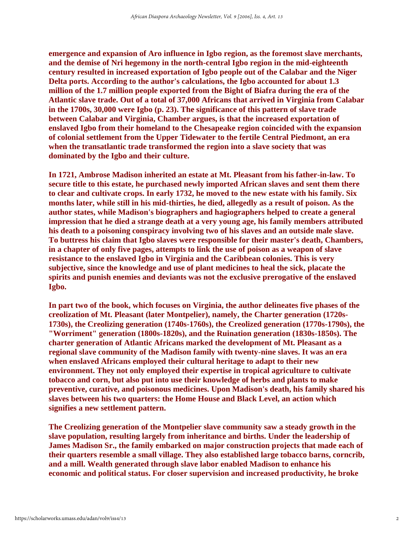**emergence and expansion of Aro influence in Igbo region, as the foremost slave merchants, and the demise of Nri hegemony in the north-central Igbo region in the mid-eighteenth century resulted in increased exportation of Igbo people out of the Calabar and the Niger Delta ports. According to the author's calculations, the Igbo accounted for about 1.3 million of the 1.7 million people exported from the Bight of Biafra during the era of the Atlantic slave trade. Out of a total of 37,000 Africans that arrived in Virginia from Calabar in the 1700s, 30,000 were Igbo (p. 23). The significance of this pattern of slave trade between Calabar and Virginia, Chamber argues, is that the increased exportation of enslaved Igbo from their homeland to the Chesapeake region coincided with the expansion of colonial settlement from the Upper Tidewater to the fertile Central Piedmont, an era when the transatlantic trade transformed the region into a slave society that was dominated by the Igbo and their culture.**

**In 1721, Ambrose Madison inherited an estate at Mt. Pleasant from his father-in-law. To secure title to this estate, he purchased newly imported African slaves and sent them there to clear and cultivate crops. In early 1732, he moved to the new estate with his family. Six months later, while still in his mid-thirties, he died, allegedly as a result of poison. As the author states, while Madison's biographers and hagiographers helped to create a general impression that he died a strange death at a very young age, his family members attributed his death to a poisoning conspiracy involving two of his slaves and an outside male slave. To buttress his claim that Igbo slaves were responsible for their master's death, Chambers, in a chapter of only five pages, attempts to link the use of poison as a weapon of slave resistance to the enslaved Igbo in Virginia and the Caribbean colonies. This is very subjective, since the knowledge and use of plant medicines to heal the sick, placate the spirits and punish enemies and deviants was not the exclusive prerogative of the enslaved Igbo.**

**In part two of the book, which focuses on Virginia, the author delineates five phases of the creolization of Mt. Pleasant (later Montpelier), namely, the Charter generation (1720s-1730s), the Creolizing generation (1740s-1760s), the Creolized generation (1770s-1790s), the "Worriment" generation (1800s-1820s), and the Ruination generation (1830s-1850s). The charter generation of Atlantic Africans marked the development of Mt. Pleasant as a regional slave community of the Madison family with twenty-nine slaves. It was an era when enslaved Africans employed their cultural heritage to adapt to their new environment. They not only employed their expertise in tropical agriculture to cultivate tobacco and corn, but also put into use their knowledge of herbs and plants to make preventive, curative, and poisonous medicines. Upon Madison's death, his family shared his slaves between his two quarters: the Home House and Black Level, an action which signifies a new settlement pattern.**

**The Creolizing generation of the Montpelier slave community saw a steady growth in the slave population, resulting largely from inheritance and births. Under the leadership of James Madison Sr., the family embarked on major construction projects that made each of their quarters resemble a small village. They also established large tobacco barns, corncrib, and a mill. Wealth generated through slave labor enabled Madison to enhance his economic and political status. For closer supervision and increased productivity, he broke**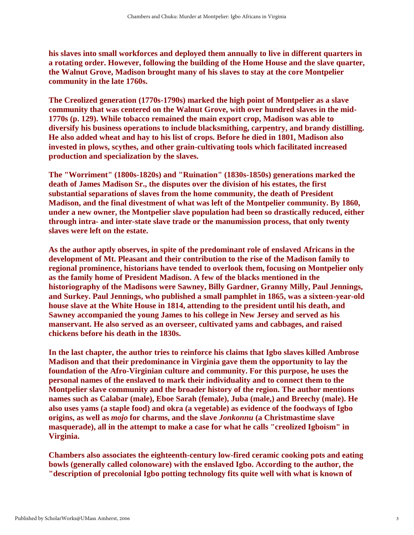**his slaves into small workforces and deployed them annually to live in different quarters in a rotating order. However, following the building of the Home House and the slave quarter, the Walnut Grove, Madison brought many of his slaves to stay at the core Montpelier community in the late 1760s.**

**The Creolized generation (1770s-1790s) marked the high point of Montpelier as a slave community that was centered on the Walnut Grove, with over hundred slaves in the mid-1770s (p. 129). While tobacco remained the main export crop, Madison was able to diversify his business operations to include blacksmithing, carpentry, and brandy distilling. He also added wheat and hay to his list of crops. Before he died in 1801, Madison also invested in plows, scythes, and other grain-cultivating tools which facilitated increased production and specialization by the slaves.**

**The "Worriment" (1800s-1820s) and "Ruination" (1830s-1850s) generations marked the death of James Madison Sr., the disputes over the division of his estates, the first substantial separations of slaves from the home community, the death of President Madison, and the final divestment of what was left of the Montpelier community. By 1860, under a new owner, the Montpelier slave population had been so drastically reduced, either through intra- and inter-state slave trade or the manumission process, that only twenty slaves were left on the estate.**

**As the author aptly observes, in spite of the predominant role of enslaved Africans in the development of Mt. Pleasant and their contribution to the rise of the Madison family to regional prominence, historians have tended to overlook them, focusing on Montpelier only as the family home of President Madison. A few of the blacks mentioned in the historiography of the Madisons were Sawney, Billy Gardner, Granny Milly, Paul Jennings, and Surkey. Paul Jennings, who published a small pamphlet in 1865, was a sixteen-year-old house slave at the White House in 1814, attending to the president until his death, and Sawney accompanied the young James to his college in New Jersey and served as his manservant. He also served as an overseer, cultivated yams and cabbages, and raised chickens before his death in the 1830s.**

**In the last chapter, the author tries to reinforce his claims that Igbo slaves killed Ambrose Madison and that their predominance in Virginia gave them the opportunity to lay the foundation of the Afro-Virginian culture and community. For this purpose, he uses the personal names of the enslaved to mark their individuality and to connect them to the Montpelier slave community and the broader history of the region. The author mentions names such as Calabar (male), Eboe Sarah (female), Juba (male,) and Breechy (male). He also uses yams (a staple food) and okra (a vegetable) as evidence of the foodways of Igbo origins, as well as** *mojo* **for charms, and the slave** *Jonkonnu* **(a Christmastime slave masquerade), all in the attempt to make a case for what he calls "creolized Igboism" in Virginia.**

**Chambers also associates the eighteenth-century low-fired ceramic cooking pots and eating bowls (generally called colonoware) with the enslaved Igbo. According to the author, the "description of precolonial Igbo potting technology fits quite well with what is known of**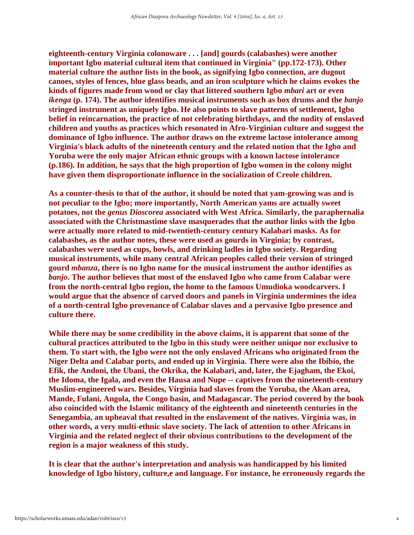**eighteenth-century Virginia colonoware . . . [and] gourds (calabashes) were another important Igbo material cultural item that continued in Virginia" (pp.172-173). Other material culture the author lists in the book, as signifying Igbo connection, are dugout canoes, styles of fences, blue glass beads, and an iron sculpture which he claims evokes the kinds of figures made from wood or clay that littered southern Igbo** *mbari* **art or even**  *ikenga* **(p. 174). The author identifies musical instruments such as box drums and the** *banjo* **stringed instrument as uniquely Igbo. He also points to slave patterns of settlement, Igbo belief in reincarnation, the practice of not celebrating birthdays, and the nudity of enslaved children and youths as practices which resonated in Afro-Virginian culture and suggest the dominance of Igbo influence. The author draws on the extreme lactose intolerance among Virginia's black adults of the nineteenth century and the related notion that the Igbo and Yoruba were the only major African ethnic groups with a known lactose intolerance (p.186). In addition, he says that the high proportion of Igbo women in the colony might have given them disproportionate influence in the socialization of Creole children.**

**As a counter-thesis to that of the author, it should be noted that yam-growing was and is not peculiar to the Igbo; more importantly, North American yams are actually sweet potatoes, not the** *genus Dioscorea* **associated with West Africa. Similarly, the paraphernalia associated with the Christmastime slave masquerades that the author links with the Igbo were actually more related to mid-twentieth-century century Kalabari masks. As for calabashes, as the author notes, these were used as gourds in Virginia; by contrast, calabashes were used as cups, bowls, and drinking ladles in Igbo society. Regarding musical instruments, while many central African peoples called their version of stringed gourd** *mbanza***, there is no Igbo name for the musical instrument the author identifies as**  *banjo***. The author believes that most of the enslaved Igbo who came from Calabar were from the north-central Igbo region, the home to the famous Umudioka woodcarvers. I would argue that the absence of carved doors and panels in Virginia undermines the idea of a north-central Igbo provenance of Calabar slaves and a pervasive Igbo presence and culture there.**

**While there may be some credibility in the above claims, it is apparent that some of the cultural practices attributed to the Igbo in this study were neither unique nor exclusive to them. To start with, the Igbo were not the only enslaved Africans who originated from the Niger Delta and Calabar ports, and ended up in Virginia. There were also the Ibibio, the Efik, the Andoni, the Ubani, the Okrika, the Kalabari, and, later, the Ejagham, the Ekoi, the Idoma, the Igala, and even the Hausa and Nupe -- captives from the nineteenth-century Muslim-engineered wars. Besides, Virginia had slaves from the Yoruba, the Akan area, Mande, Fulani, Angola, the Congo basin, and Madagascar. The period covered by the book also coincided with the Islamic militancy of the eighteenth and nineteenth centuries in the Senegambia, an upheaval that resulted in the enslavement of the natives. Virginia was, in other words, a very multi-ethnic slave society. The lack of attention to other Africans in Virginia and the related neglect of their obvious contributions to the development of the region is a major weakness of this study.**

**It is clear that the author's interpretation and analysis was handicapped by his limited knowledge of Igbo history, culture,e and language. For instance, he erroneously regards the**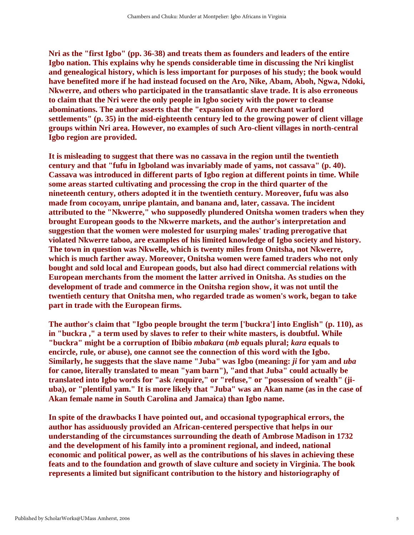**Nri as the "first Igbo" (pp. 36-38) and treats them as founders and leaders of the entire Igbo nation. This explains why he spends considerable time in discussing the Nri kinglist and genealogical history, which is less important for purposes of his study; the book would have benefited more if he had instead focused on the Aro, Nike, Abam, Aboh, Ngwa, Ndoki, Nkwerre, and others who participated in the transatlantic slave trade. It is also erroneous to claim that the Nri were the only people in Igbo society with the power to cleanse abominations. The author asserts that the "expansion of Aro merchant warlord settlements" (p. 35) in the mid-eighteenth century led to the growing power of client village groups within Nri area. However, no examples of such Aro-client villages in north-central Igbo region are provided.**

**It is misleading to suggest that there was no cassava in the region until the twentieth century and that "fufu in Igboland was invariably made of yams, not cassava" (p. 40). Cassava was introduced in different parts of Igbo region at different points in time. While some areas started cultivating and processing the crop in the third quarter of the nineteenth century, others adopted it in the twentieth century. Moreover, fufu was also made from cocoyam, unripe plantain, and banana and, later, cassava. The incident attributed to the "Nkwerre," who supposedly plundered Onitsha women traders when they brought European goods to the Nkwerre markets, and the author's interpretation and suggestion that the women were molested for usurping males' trading prerogative that violated Nkwerre taboo, are examples of his limited knowledge of Igbo society and history. The town in question was Nkwelle, which is twenty miles from Onitsha, not Nkwerre, which is much farther away. Moreover, Onitsha women were famed traders who not only bought and sold local and European goods, but also had direct commercial relations with European merchants from the moment the latter arrived in Onitsha. As studies on the development of trade and commerce in the Onitsha region show, it was not until the twentieth century that Onitsha men, who regarded trade as women's work, began to take part in trade with the European firms.**

**The author's claim that "Igbo people brought the term ['buckra'] into English" (p. 110), as in "buckra ," a term used by slaves to refer to their white masters, is doubtful. While "buckra" might be a corruption of Ibibio** *mbakara* **(***mb* **equals plural;** *kara* **equals to encircle, rule, or abuse), one cannot see the connection of this word with the Igbo. Similarly, he suggests that the slave name "Juba" was Igbo (meaning:** *ji* **for yam and** *uba* **for canoe, literally translated to mean "yam barn"), "and that Juba" could actually be translated into Igbo words for "ask /enquire," or "refuse," or "possession of wealth" (jiuba), or "plentiful yam." It is more likely that "Juba" was an Akan name (as in the case of Akan female name in South Carolina and Jamaica) than Igbo name.**

**In spite of the drawbacks I have pointed out, and occasional typographical errors, the author has assiduously provided an African-centered perspective that helps in our understanding of the circumstances surrounding the death of Ambrose Madison in 1732 and the development of his family into a prominent regional, and indeed, national economic and political power, as well as the contributions of his slaves in achieving these feats and to the foundation and growth of slave culture and society in Virginia. The book represents a limited but significant contribution to the history and historiography of**